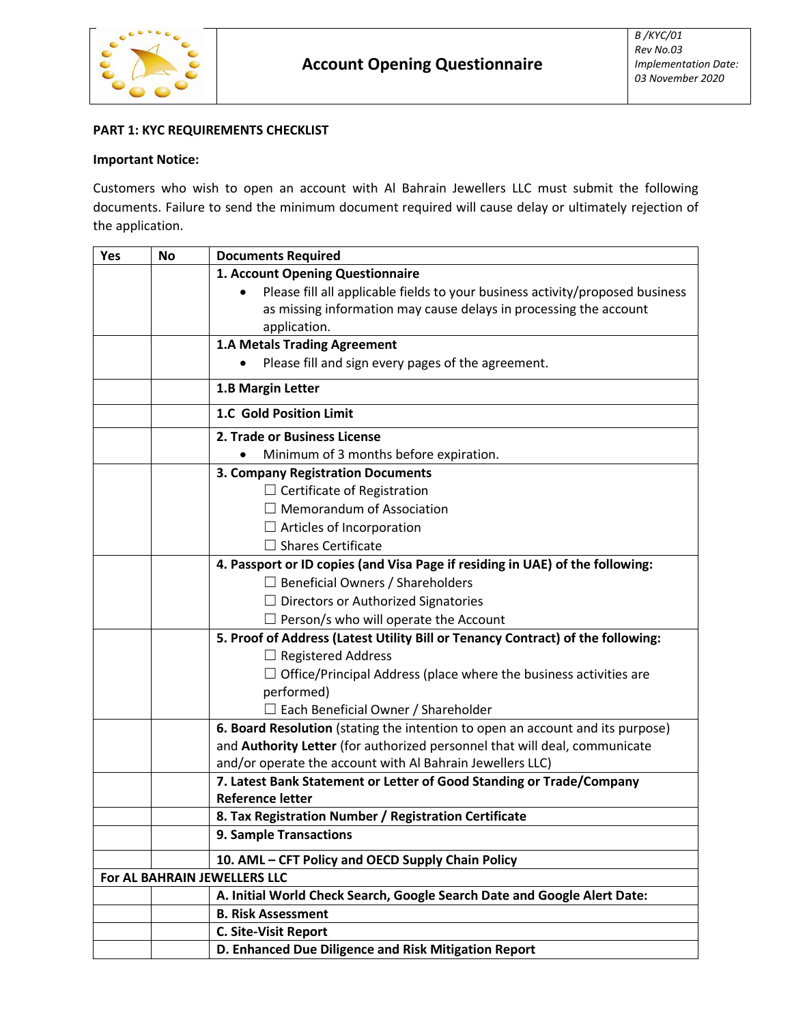

# **PART 1: KYC REQUIREMENTS CHECKLIST**

# **Important Notice:**

Customers who wish to open an account with Al Bahrain Jewellers LLC must submit the following documents. Failure to send the minimum document required will cause delay or ultimately rejection of the application.

| Yes | <b>No</b>                          | <b>Documents Required</b>                                                       |  |  |
|-----|------------------------------------|---------------------------------------------------------------------------------|--|--|
|     |                                    | 1. Account Opening Questionnaire                                                |  |  |
|     |                                    | Please fill all applicable fields to your business activity/proposed business   |  |  |
|     |                                    | as missing information may cause delays in processing the account               |  |  |
|     |                                    | application.                                                                    |  |  |
|     |                                    | <b>1.A Metals Trading Agreement</b>                                             |  |  |
|     |                                    | Please fill and sign every pages of the agreement.                              |  |  |
|     |                                    | 1.B Margin Letter                                                               |  |  |
|     |                                    | 1.C Gold Position Limit                                                         |  |  |
|     |                                    | 2. Trade or Business License                                                    |  |  |
|     |                                    | Minimum of 3 months before expiration.                                          |  |  |
|     |                                    | 3. Company Registration Documents                                               |  |  |
|     | $\Box$ Certificate of Registration |                                                                                 |  |  |
|     | $\Box$ Memorandum of Association   |                                                                                 |  |  |
|     |                                    | $\Box$ Articles of Incorporation                                                |  |  |
|     |                                    | $\Box$ Shares Certificate                                                       |  |  |
|     |                                    | 4. Passport or ID copies (and Visa Page if residing in UAE) of the following:   |  |  |
|     |                                    | $\Box$ Beneficial Owners / Shareholders                                         |  |  |
|     |                                    | $\Box$ Directors or Authorized Signatories                                      |  |  |
|     |                                    | $\Box$ Person/s who will operate the Account                                    |  |  |
|     |                                    | 5. Proof of Address (Latest Utility Bill or Tenancy Contract) of the following: |  |  |
|     |                                    | $\Box$ Registered Address                                                       |  |  |
|     |                                    | $\Box$ Office/Principal Address (place where the business activities are        |  |  |
|     | performed)                         |                                                                                 |  |  |
|     |                                    | $\Box$ Each Beneficial Owner / Shareholder                                      |  |  |
|     |                                    | 6. Board Resolution (stating the intention to open an account and its purpose)  |  |  |
|     |                                    | and Authority Letter (for authorized personnel that will deal, communicate      |  |  |
|     |                                    | and/or operate the account with Al Bahrain Jewellers LLC)                       |  |  |
|     |                                    | 7. Latest Bank Statement or Letter of Good Standing or Trade/Company            |  |  |
|     |                                    | <b>Reference letter</b>                                                         |  |  |
|     |                                    | 8. Tax Registration Number / Registration Certificate                           |  |  |
|     |                                    | 9. Sample Transactions                                                          |  |  |
|     |                                    | 10. AML - CFT Policy and OECD Supply Chain Policy                               |  |  |
|     |                                    | For AL BAHRAIN JEWELLERS LLC                                                    |  |  |
|     |                                    | A. Initial World Check Search, Google Search Date and Google Alert Date:        |  |  |
|     |                                    | <b>B. Risk Assessment</b>                                                       |  |  |
|     |                                    | <b>C. Site-Visit Report</b>                                                     |  |  |
|     |                                    | D. Enhanced Due Diligence and Risk Mitigation Report                            |  |  |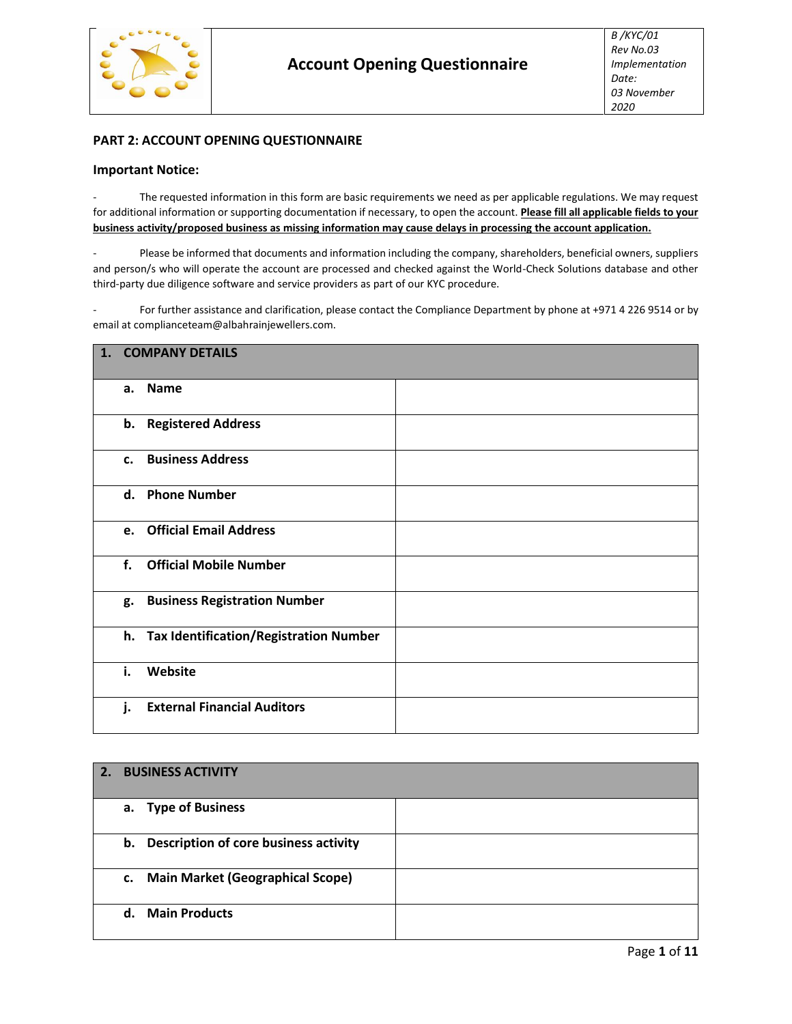

# **PART 2: ACCOUNT OPENING QUESTIONNAIRE**

## **Important Notice:**

The requested information in this form are basic requirements we need as per applicable regulations. We may request for additional information or supporting documentation if necessary, to open the account. **Please fill all applicable fields to your business activity/proposed business as missing information may cause delays in processing the account application.**

Please be informed that documents and information including the company, shareholders, beneficial owners, suppliers and person/s who will operate the account are processed and checked against the World-Check Solutions database and other third-party due diligence software and service providers as part of our KYC procedure.

For further assistance and clarification, please contact the Compliance Department by phone at +971 4 226 9514 or by email at complianceteam@albahrainjewellers.com.

| <b>COMPANY DETAILS</b><br>1.              |  |  |  |  |  |
|-------------------------------------------|--|--|--|--|--|
| <b>Name</b><br>a.                         |  |  |  |  |  |
| b. Registered Address                     |  |  |  |  |  |
| <b>Business Address</b><br>$c_{\cdot}$    |  |  |  |  |  |
| <b>Phone Number</b><br>d.                 |  |  |  |  |  |
| <b>Official Email Address</b><br>e.       |  |  |  |  |  |
| <b>Official Mobile Number</b><br>f.       |  |  |  |  |  |
| <b>Business Registration Number</b><br>g. |  |  |  |  |  |
| h. Tax Identification/Registration Number |  |  |  |  |  |
| Website<br>i.                             |  |  |  |  |  |
| <b>External Financial Auditors</b><br>j.  |  |  |  |  |  |

| 2. | <b>BUSINESS ACTIVITY</b>                      |  |
|----|-----------------------------------------------|--|
|    | a. Type of Business                           |  |
|    | Description of core business activity<br>b.   |  |
|    | <b>Main Market (Geographical Scope)</b><br>c. |  |
|    | <b>Main Products</b><br>$d_{\cdot}$           |  |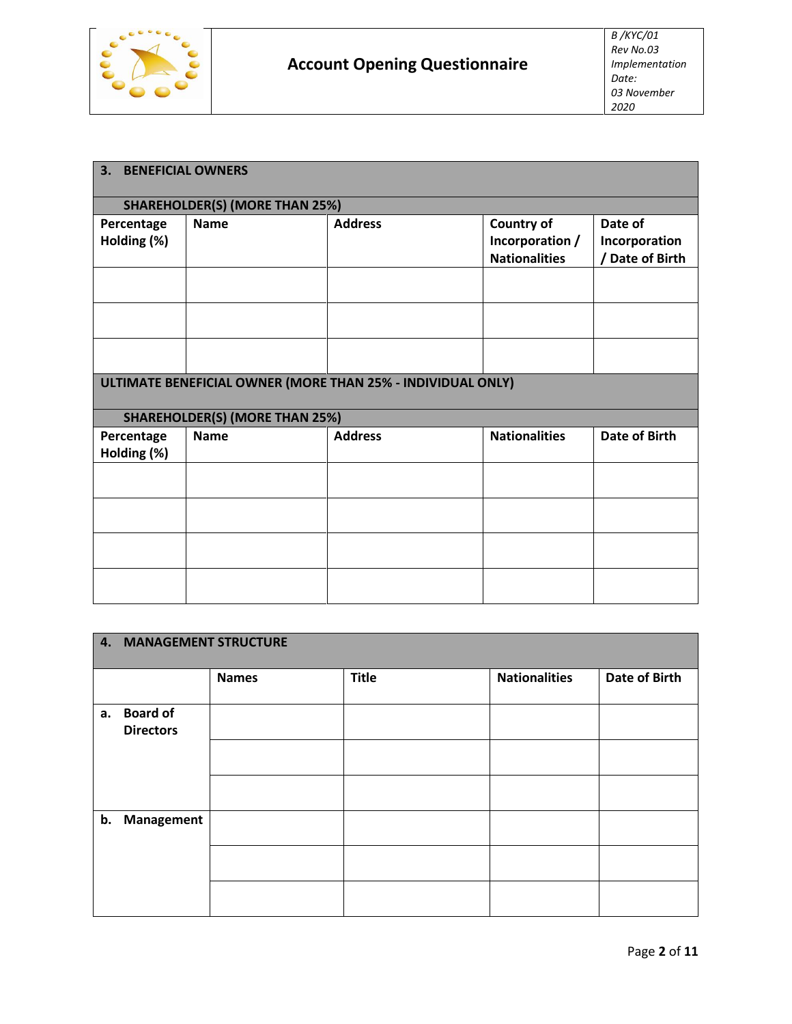

| 3.                        | <b>BENEFICIAL OWNERS</b>              |                                                             |                                                       |                                             |  |  |  |
|---------------------------|---------------------------------------|-------------------------------------------------------------|-------------------------------------------------------|---------------------------------------------|--|--|--|
|                           | <b>SHAREHOLDER(S) (MORE THAN 25%)</b> |                                                             |                                                       |                                             |  |  |  |
| Percentage<br>Holding (%) | <b>Name</b>                           | <b>Address</b>                                              | Country of<br>Incorporation /<br><b>Nationalities</b> | Date of<br>Incorporation<br>/ Date of Birth |  |  |  |
|                           |                                       |                                                             |                                                       |                                             |  |  |  |
|                           |                                       | ULTIMATE BENEFICIAL OWNER (MORE THAN 25% - INDIVIDUAL ONLY) |                                                       |                                             |  |  |  |
|                           | <b>SHAREHOLDER(S) (MORE THAN 25%)</b> |                                                             |                                                       |                                             |  |  |  |
| Percentage<br>Holding (%) | <b>Name</b>                           | <b>Address</b>                                              | <b>Nationalities</b>                                  | Date of Birth                               |  |  |  |
|                           |                                       |                                                             |                                                       |                                             |  |  |  |
|                           |                                       |                                                             |                                                       |                                             |  |  |  |
|                           |                                       |                                                             |                                                       |                                             |  |  |  |
|                           |                                       |                                                             |                                                       |                                             |  |  |  |

|    | 4. MANAGEMENT STRUCTURE |              |              |                      |                      |  |  |
|----|-------------------------|--------------|--------------|----------------------|----------------------|--|--|
|    |                         |              |              |                      |                      |  |  |
|    |                         |              |              |                      |                      |  |  |
|    |                         | <b>Names</b> | <b>Title</b> | <b>Nationalities</b> | <b>Date of Birth</b> |  |  |
|    |                         |              |              |                      |                      |  |  |
| a. | <b>Board of</b>         |              |              |                      |                      |  |  |
|    | <b>Directors</b>        |              |              |                      |                      |  |  |
|    |                         |              |              |                      |                      |  |  |
|    |                         |              |              |                      |                      |  |  |
|    |                         |              |              |                      |                      |  |  |
|    |                         |              |              |                      |                      |  |  |
|    |                         |              |              |                      |                      |  |  |
|    | b. Management           |              |              |                      |                      |  |  |
|    |                         |              |              |                      |                      |  |  |
|    |                         |              |              |                      |                      |  |  |
|    |                         |              |              |                      |                      |  |  |
|    |                         |              |              |                      |                      |  |  |
|    |                         |              |              |                      |                      |  |  |
|    |                         |              |              |                      |                      |  |  |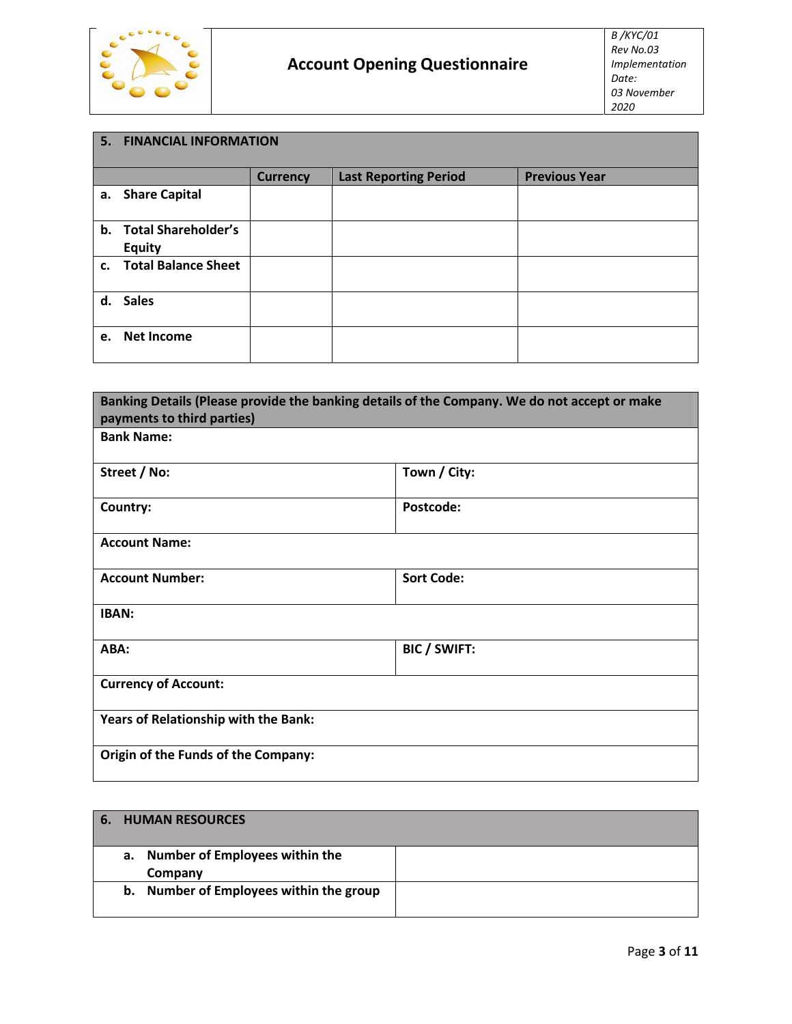

|    | 5. FINANCIAL INFORMATION |                 |                              |                      |  |  |
|----|--------------------------|-----------------|------------------------------|----------------------|--|--|
|    |                          | <b>Currency</b> | <b>Last Reporting Period</b> | <b>Previous Year</b> |  |  |
|    | a. Share Capital         |                 |                              |                      |  |  |
|    | b. Total Shareholder's   |                 |                              |                      |  |  |
|    | <b>Equity</b>            |                 |                              |                      |  |  |
|    | c. Total Balance Sheet   |                 |                              |                      |  |  |
|    | d. Sales                 |                 |                              |                      |  |  |
| e. | <b>Net Income</b>        |                 |                              |                      |  |  |

| Banking Details (Please provide the banking details of the Company. We do not accept or make |                     |  |  |  |
|----------------------------------------------------------------------------------------------|---------------------|--|--|--|
| payments to third parties)                                                                   |                     |  |  |  |
| <b>Bank Name:</b>                                                                            |                     |  |  |  |
| Street / No:                                                                                 | Town / City:        |  |  |  |
| Country:                                                                                     | Postcode:           |  |  |  |
| <b>Account Name:</b>                                                                         |                     |  |  |  |
| <b>Account Number:</b>                                                                       | <b>Sort Code:</b>   |  |  |  |
| <b>IBAN:</b>                                                                                 |                     |  |  |  |
| ABA:                                                                                         | <b>BIC / SWIFT:</b> |  |  |  |
| <b>Currency of Account:</b>                                                                  |                     |  |  |  |
| Years of Relationship with the Bank:                                                         |                     |  |  |  |
| Origin of the Funds of the Company:                                                          |                     |  |  |  |

| <b>6. HUMAN RESOURCES</b>                       |  |
|-------------------------------------------------|--|
| Number of Employees within the<br>а.<br>Company |  |
| b. Number of Employees within the group         |  |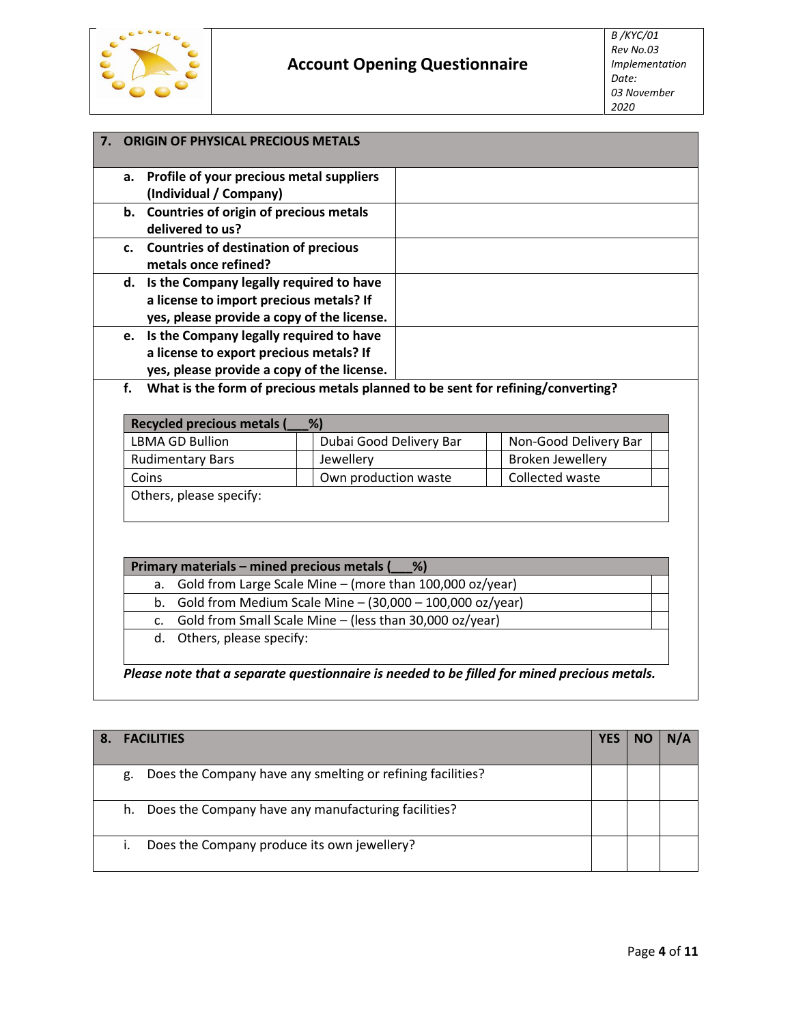

|    | <b>ORIGIN OF PHYSICAL PRECIOUS METALS</b>                                       |  |
|----|---------------------------------------------------------------------------------|--|
| а. | Profile of your precious metal suppliers                                        |  |
|    | (Individual / Company)                                                          |  |
|    | b. Countries of origin of precious metals                                       |  |
|    | delivered to us?                                                                |  |
|    | c. Countries of destination of precious<br>metals once refined?                 |  |
|    | d. Is the Company legally required to have                                      |  |
|    | a license to import precious metals? If                                         |  |
|    | yes, please provide a copy of the license.                                      |  |
| e. | Is the Company legally required to have                                         |  |
|    | a license to export precious metals? If                                         |  |
|    | yes, please provide a copy of the license.                                      |  |
| f. | What is the form of precious metals planned to be sent for refining/converting? |  |
|    |                                                                                 |  |
|    | Demolar was developed and all all<br>0/1                                        |  |

| Recycled precious metals (<br>%) |                         |                         |  |  |  |
|----------------------------------|-------------------------|-------------------------|--|--|--|
| <b>LBMA GD Bullion</b>           | Dubai Good Delivery Bar | Non-Good Delivery Bar   |  |  |  |
| <b>Rudimentary Bars</b>          | Jewellery               | <b>Broken Jewellery</b> |  |  |  |
| Coins                            | Own production waste    | Collected waste         |  |  |  |
| Others, please specify:          |                         |                         |  |  |  |

|    | Primary materials - mined precious metals (<br>$\frac{9}{6}$  |  |  |  |  |
|----|---------------------------------------------------------------|--|--|--|--|
|    | a. Gold from Large Scale Mine $-$ (more than 100,000 oz/year) |  |  |  |  |
| b. | Gold from Medium Scale Mine $-$ (30,000 $-$ 100,000 oz/year)  |  |  |  |  |
| C. | Gold from Small Scale Mine - (less than 30,000 oz/year)       |  |  |  |  |
|    | التكافح والمتحدث والمستحدث والمتكام المرام                    |  |  |  |  |

d. Others, please specify:

*Please note that a separate questionnaire is needed to be filled for mined precious metals.*

| <b>FACILITIES</b>                                                |  |  |
|------------------------------------------------------------------|--|--|
| Does the Company have any smelting or refining facilities?<br>g. |  |  |
| Does the Company have any manufacturing facilities?<br>h.        |  |  |
| Does the Company produce its own jewellery?                      |  |  |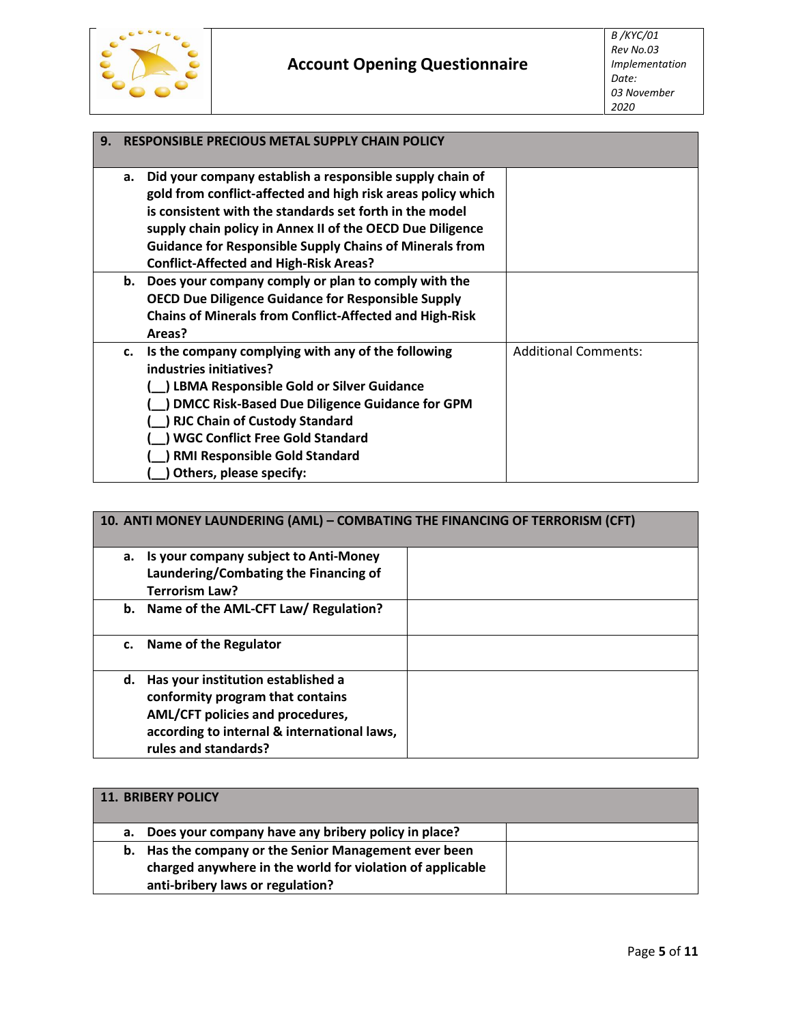

# **Account Opening Questionnaire**

| 9. | <b>RESPONSIBLE PRECIOUS METAL SUPPLY CHAIN POLICY</b> |                                                                |                             |  |  |  |  |
|----|-------------------------------------------------------|----------------------------------------------------------------|-----------------------------|--|--|--|--|
|    | a.                                                    | Did your company establish a responsible supply chain of       |                             |  |  |  |  |
|    |                                                       | gold from conflict-affected and high risk areas policy which   |                             |  |  |  |  |
|    |                                                       | is consistent with the standards set forth in the model        |                             |  |  |  |  |
|    |                                                       | supply chain policy in Annex II of the OECD Due Diligence      |                             |  |  |  |  |
|    |                                                       | <b>Guidance for Responsible Supply Chains of Minerals from</b> |                             |  |  |  |  |
|    |                                                       | <b>Conflict-Affected and High-Risk Areas?</b>                  |                             |  |  |  |  |
|    |                                                       | b. Does your company comply or plan to comply with the         |                             |  |  |  |  |
|    |                                                       | <b>OECD Due Diligence Guidance for Responsible Supply</b>      |                             |  |  |  |  |
|    |                                                       | <b>Chains of Minerals from Conflict-Affected and High-Risk</b> |                             |  |  |  |  |
|    |                                                       | Areas?                                                         |                             |  |  |  |  |
|    | c.                                                    | Is the company complying with any of the following             | <b>Additional Comments:</b> |  |  |  |  |
|    |                                                       | industries initiatives?                                        |                             |  |  |  |  |
|    |                                                       | <b>LBMA Responsible Gold or Silver Guidance</b>                |                             |  |  |  |  |
|    |                                                       | <b>DMCC Risk-Based Due Diligence Guidance for GPM</b>          |                             |  |  |  |  |
|    |                                                       | <b>RJC Chain of Custody Standard</b>                           |                             |  |  |  |  |
|    |                                                       | <b>WGC Conflict Free Gold Standard</b>                         |                             |  |  |  |  |
|    |                                                       | <b>RMI Responsible Gold Standard</b>                           |                             |  |  |  |  |
|    |                                                       | Others, please specify:                                        |                             |  |  |  |  |

|    | 10. ANTI MONEY LAUNDERING (AML) - COMBATING THE FINANCING OF TERRORISM (CFT)                                                                                                      |  |  |  |  |  |  |
|----|-----------------------------------------------------------------------------------------------------------------------------------------------------------------------------------|--|--|--|--|--|--|
|    | a. Is your company subject to Anti-Money<br>Laundering/Combating the Financing of<br><b>Terrorism Law?</b>                                                                        |  |  |  |  |  |  |
|    | b. Name of the AML-CFT Law/ Regulation?                                                                                                                                           |  |  |  |  |  |  |
| C. | Name of the Regulator                                                                                                                                                             |  |  |  |  |  |  |
| d. | Has your institution established a<br>conformity program that contains<br>AML/CFT policies and procedures,<br>according to internal & international laws,<br>rules and standards? |  |  |  |  |  |  |

|    | 11. BRIBERY POLICY                                        |  |
|----|-----------------------------------------------------------|--|
| а. | Does your company have any bribery policy in place?       |  |
|    | b. Has the company or the Senior Management ever been     |  |
|    | charged anywhere in the world for violation of applicable |  |
|    | anti-bribery laws or regulation?                          |  |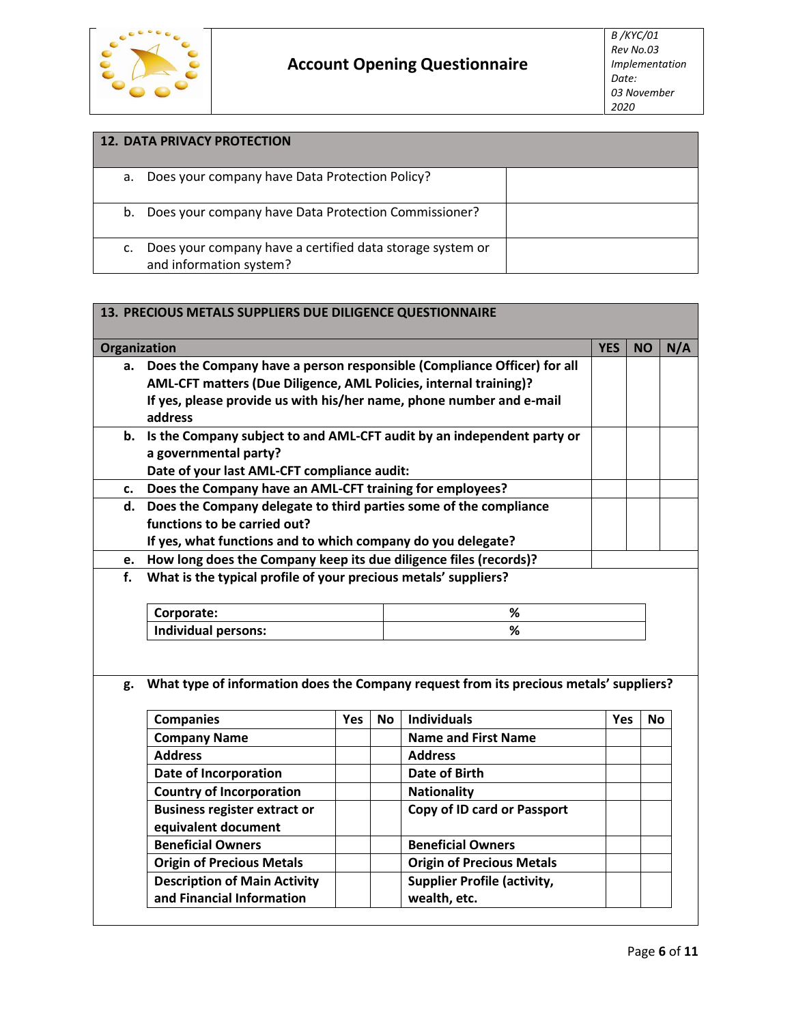

|    | <b>12. DATA PRIVACY PROTECTION</b>                                                   |  |  |  |  |  |  |
|----|--------------------------------------------------------------------------------------|--|--|--|--|--|--|
| а. | Does your company have Data Protection Policy?                                       |  |  |  |  |  |  |
| b. | Does your company have Data Protection Commissioner?                                 |  |  |  |  |  |  |
|    | Does your company have a certified data storage system or<br>and information system? |  |  |  |  |  |  |

| 13. PRECIOUS METALS SUPPLIERS DUE DILIGENCE QUESTIONNAIRE |                                                                                                                                                                                                                                 |            |           |                                    |     |           |     |
|-----------------------------------------------------------|---------------------------------------------------------------------------------------------------------------------------------------------------------------------------------------------------------------------------------|------------|-----------|------------------------------------|-----|-----------|-----|
| Organization                                              |                                                                                                                                                                                                                                 |            |           |                                    |     |           | N/A |
| a.                                                        | Does the Company have a person responsible (Compliance Officer) for all<br>AML-CFT matters (Due Diligence, AML Policies, internal training)?<br>If yes, please provide us with his/her name, phone number and e-mail<br>address |            |           |                                    |     |           |     |
|                                                           | b. Is the Company subject to and AML-CFT audit by an independent party or<br>a governmental party?<br>Date of your last AML-CFT compliance audit:                                                                               |            |           |                                    |     |           |     |
| c.                                                        | Does the Company have an AML-CFT training for employees?                                                                                                                                                                        |            |           |                                    |     |           |     |
| d.                                                        | Does the Company delegate to third parties some of the compliance<br>functions to be carried out?<br>If yes, what functions and to which company do you delegate?                                                               |            |           |                                    |     |           |     |
| e.                                                        | How long does the Company keep its due diligence files (records)?                                                                                                                                                               |            |           |                                    |     |           |     |
| f.                                                        | What is the typical profile of your precious metals' suppliers?                                                                                                                                                                 |            |           |                                    |     |           |     |
|                                                           | Corporate:<br>%                                                                                                                                                                                                                 |            |           |                                    |     |           |     |
|                                                           | <b>Individual persons:</b><br>%                                                                                                                                                                                                 |            |           |                                    |     |           |     |
| g.                                                        | What type of information does the Company request from its precious metals' suppliers?                                                                                                                                          |            |           |                                    |     |           |     |
|                                                           | <b>Companies</b>                                                                                                                                                                                                                | <b>Yes</b> | <b>No</b> | <b>Individuals</b>                 | Yes | <b>No</b> |     |
|                                                           | <b>Company Name</b>                                                                                                                                                                                                             |            |           | <b>Name and First Name</b>         |     |           |     |
|                                                           | <b>Address</b>                                                                                                                                                                                                                  |            |           | <b>Address</b>                     |     |           |     |
|                                                           | Date of Incorporation                                                                                                                                                                                                           |            |           | <b>Date of Birth</b>               |     |           |     |
|                                                           | <b>Country of Incorporation</b>                                                                                                                                                                                                 |            |           | <b>Nationality</b>                 |     |           |     |
|                                                           | <b>Business register extract or</b><br>Copy of ID card or Passport                                                                                                                                                              |            |           |                                    |     |           |     |
|                                                           | equivalent document                                                                                                                                                                                                             |            |           |                                    |     |           |     |
|                                                           | <b>Beneficial Owners</b><br><b>Beneficial Owners</b>                                                                                                                                                                            |            |           |                                    |     |           |     |
|                                                           | <b>Origin of Precious Metals</b>                                                                                                                                                                                                |            |           | <b>Origin of Precious Metals</b>   |     |           |     |
|                                                           | <b>Description of Main Activity</b>                                                                                                                                                                                             |            |           | <b>Supplier Profile (activity,</b> |     |           |     |
|                                                           | and Financial Information<br>wealth, etc.                                                                                                                                                                                       |            |           |                                    |     |           |     |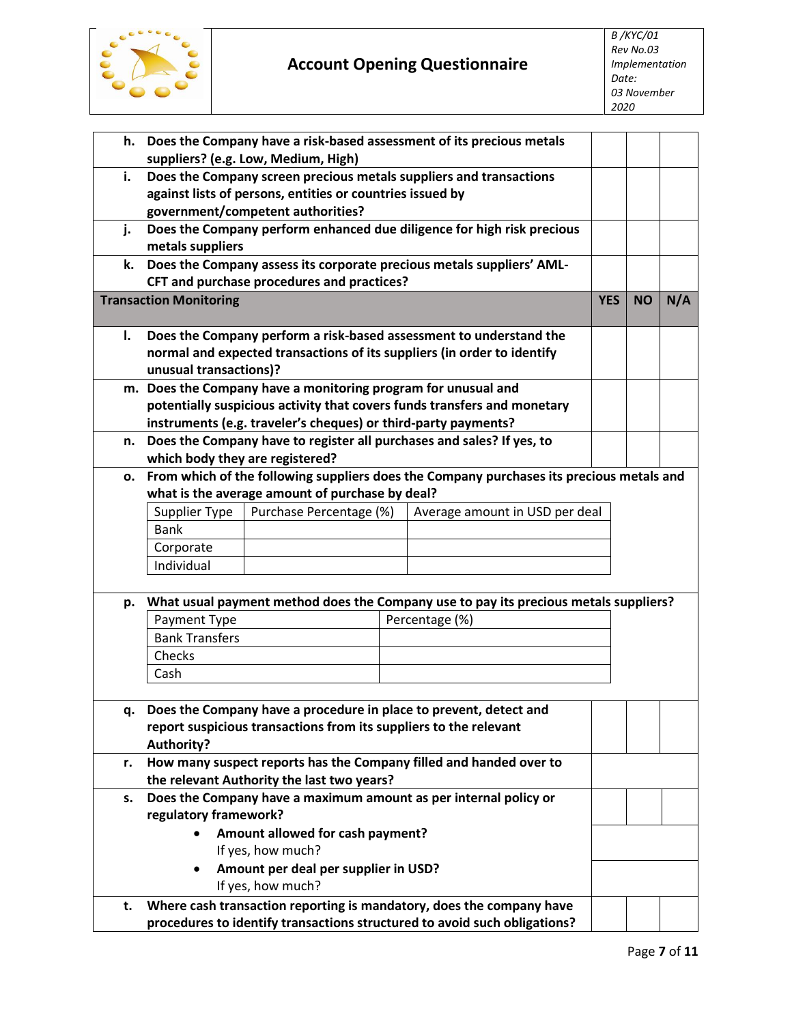

| h. | Does the Company have a risk-based assessment of its precious metals       |                                                                   |  |                                                                                          |            |           |     |
|----|----------------------------------------------------------------------------|-------------------------------------------------------------------|--|------------------------------------------------------------------------------------------|------------|-----------|-----|
|    | suppliers? (e.g. Low, Medium, High)                                        |                                                                   |  |                                                                                          |            |           |     |
| i. |                                                                            |                                                                   |  | Does the Company screen precious metals suppliers and transactions                       |            |           |     |
|    |                                                                            | against lists of persons, entities or countries issued by         |  |                                                                                          |            |           |     |
|    |                                                                            | government/competent authorities?                                 |  |                                                                                          |            |           |     |
| j. |                                                                            |                                                                   |  | Does the Company perform enhanced due diligence for high risk precious                   |            |           |     |
|    | metals suppliers                                                           |                                                                   |  |                                                                                          |            |           |     |
| k. |                                                                            |                                                                   |  | Does the Company assess its corporate precious metals suppliers' AML-                    |            |           |     |
|    |                                                                            | CFT and purchase procedures and practices?                        |  |                                                                                          | <b>YES</b> | <b>NO</b> | N/A |
|    | <b>Transaction Monitoring</b>                                              |                                                                   |  |                                                                                          |            |           |     |
| I. |                                                                            |                                                                   |  | Does the Company perform a risk-based assessment to understand the                       |            |           |     |
|    |                                                                            |                                                                   |  | normal and expected transactions of its suppliers (in order to identify                  |            |           |     |
|    | unusual transactions)?                                                     |                                                                   |  |                                                                                          |            |           |     |
|    |                                                                            | m. Does the Company have a monitoring program for unusual and     |  |                                                                                          |            |           |     |
|    |                                                                            |                                                                   |  | potentially suspicious activity that covers funds transfers and monetary                 |            |           |     |
|    |                                                                            | instruments (e.g. traveler's cheques) or third-party payments?    |  |                                                                                          |            |           |     |
| n. |                                                                            |                                                                   |  | Does the Company have to register all purchases and sales? If yes, to                    |            |           |     |
|    | which body they are registered?                                            |                                                                   |  |                                                                                          |            |           |     |
| о. |                                                                            |                                                                   |  | From which of the following suppliers does the Company purchases its precious metals and |            |           |     |
|    |                                                                            | what is the average amount of purchase by deal?                   |  |                                                                                          |            |           |     |
|    | Supplier Type<br>Purchase Percentage (%)<br>Average amount in USD per deal |                                                                   |  |                                                                                          |            |           |     |
|    | <b>Bank</b>                                                                |                                                                   |  |                                                                                          |            |           |     |
|    | Corporate                                                                  |                                                                   |  |                                                                                          |            |           |     |
|    | Individual                                                                 |                                                                   |  |                                                                                          |            |           |     |
| p. |                                                                            |                                                                   |  | What usual payment method does the Company use to pay its precious metals suppliers?     |            |           |     |
|    | Payment Type                                                               |                                                                   |  | Percentage (%)                                                                           |            |           |     |
|    | <b>Bank Transfers</b>                                                      |                                                                   |  |                                                                                          |            |           |     |
|    | Checks                                                                     |                                                                   |  |                                                                                          |            |           |     |
|    | Cash                                                                       |                                                                   |  |                                                                                          |            |           |     |
|    |                                                                            |                                                                   |  |                                                                                          |            |           |     |
|    |                                                                            |                                                                   |  | Does the Company have a procedure in place to prevent, detect and                        |            |           |     |
|    |                                                                            | report suspicious transactions from its suppliers to the relevant |  |                                                                                          |            |           |     |
|    | Authority?                                                                 |                                                                   |  |                                                                                          |            |           |     |
| r. | How many suspect reports has the Company filled and handed over to         |                                                                   |  |                                                                                          |            |           |     |
|    | the relevant Authority the last two years?                                 |                                                                   |  |                                                                                          |            |           |     |
| s. |                                                                            |                                                                   |  | Does the Company have a maximum amount as per internal policy or                         |            |           |     |
|    | regulatory framework?                                                      |                                                                   |  |                                                                                          |            |           |     |
|    | $\bullet$                                                                  | Amount allowed for cash payment?                                  |  |                                                                                          |            |           |     |
|    |                                                                            | If yes, how much?                                                 |  |                                                                                          |            |           |     |
|    | $\bullet$                                                                  | Amount per deal per supplier in USD?                              |  |                                                                                          |            |           |     |
|    |                                                                            | If yes, how much?                                                 |  |                                                                                          |            |           |     |
| t. |                                                                            |                                                                   |  | Where cash transaction reporting is mandatory, does the company have                     |            |           |     |
|    |                                                                            |                                                                   |  | procedures to identify transactions structured to avoid such obligations?                |            |           |     |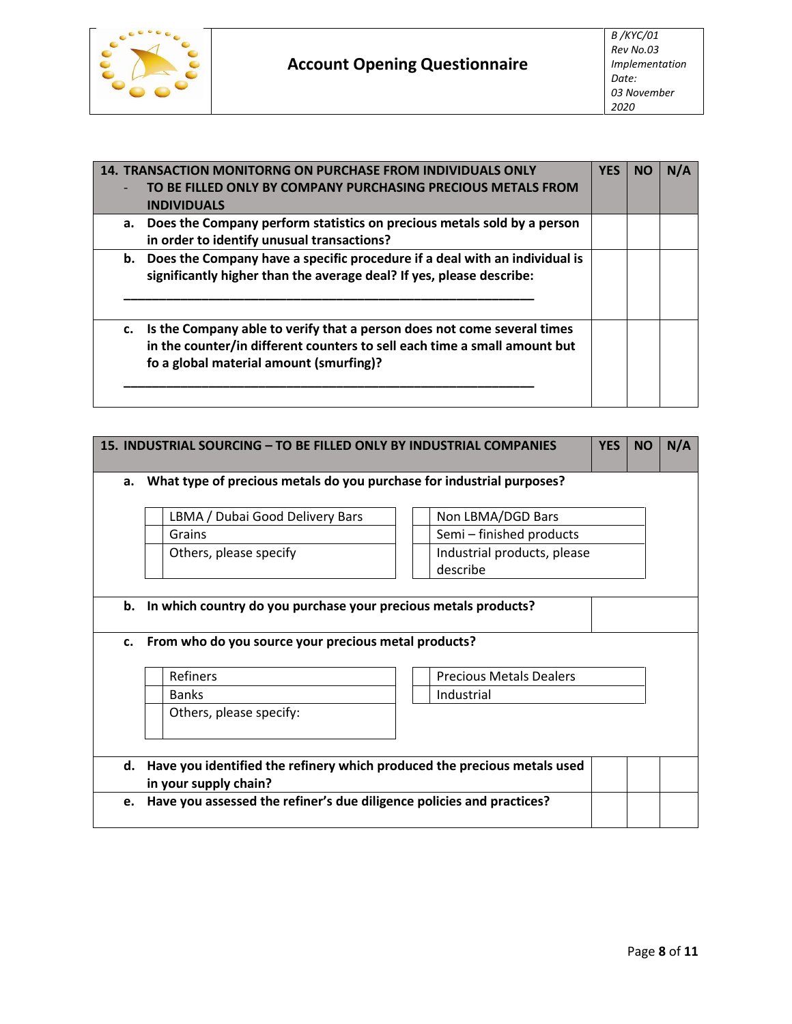

| <b>14. TRANSACTION MONITORNG ON PURCHASE FROM INDIVIDUALS ONLY</b> |                                                                               |  |  | N/A |  |
|--------------------------------------------------------------------|-------------------------------------------------------------------------------|--|--|-----|--|
|                                                                    | TO BE FILLED ONLY BY COMPANY PURCHASING PRECIOUS METALS FROM                  |  |  |     |  |
|                                                                    | <b>INDIVIDUALS</b>                                                            |  |  |     |  |
|                                                                    | a. Does the Company perform statistics on precious metals sold by a person    |  |  |     |  |
|                                                                    | in order to identify unusual transactions?                                    |  |  |     |  |
|                                                                    | b. Does the Company have a specific procedure if a deal with an individual is |  |  |     |  |
|                                                                    | significantly higher than the average deal? If yes, please describe:          |  |  |     |  |
|                                                                    |                                                                               |  |  |     |  |
|                                                                    |                                                                               |  |  |     |  |
|                                                                    | Is the Company able to verify that a person does not come several times<br>c. |  |  |     |  |
|                                                                    | in the counter/in different counters to sell each time a small amount but     |  |  |     |  |
|                                                                    | fo a global material amount (smurfing)?                                       |  |  |     |  |
|                                                                    |                                                                               |  |  |     |  |
|                                                                    |                                                                               |  |  |     |  |

|             | 15. INDUSTRIAL SOURCING - TO BE FILLED ONLY BY INDUSTRIAL COMPANIES         |  |                                |  |  | N/A |  |
|-------------|-----------------------------------------------------------------------------|--|--------------------------------|--|--|-----|--|
| a.          | What type of precious metals do you purchase for industrial purposes?       |  |                                |  |  |     |  |
|             | Non LBMA/DGD Bars<br>LBMA / Dubai Good Delivery Bars                        |  |                                |  |  |     |  |
|             | Semi - finished products<br>Grains                                          |  |                                |  |  |     |  |
|             | Industrial products, please<br>Others, please specify                       |  |                                |  |  |     |  |
|             |                                                                             |  | describe                       |  |  |     |  |
|             |                                                                             |  |                                |  |  |     |  |
|             | b. In which country do you purchase your precious metals products?          |  |                                |  |  |     |  |
|             |                                                                             |  |                                |  |  |     |  |
| $c_{\cdot}$ | From who do you source your precious metal products?                        |  |                                |  |  |     |  |
|             |                                                                             |  |                                |  |  |     |  |
|             | Refiners                                                                    |  | <b>Precious Metals Dealers</b> |  |  |     |  |
|             | <b>Banks</b>                                                                |  | Industrial                     |  |  |     |  |
|             | Others, please specify:                                                     |  |                                |  |  |     |  |
|             |                                                                             |  |                                |  |  |     |  |
|             |                                                                             |  |                                |  |  |     |  |
|             | d. Have you identified the refinery which produced the precious metals used |  |                                |  |  |     |  |
|             | in your supply chain?                                                       |  |                                |  |  |     |  |
| e.          | Have you assessed the refiner's due diligence policies and practices?       |  |                                |  |  |     |  |
|             |                                                                             |  |                                |  |  |     |  |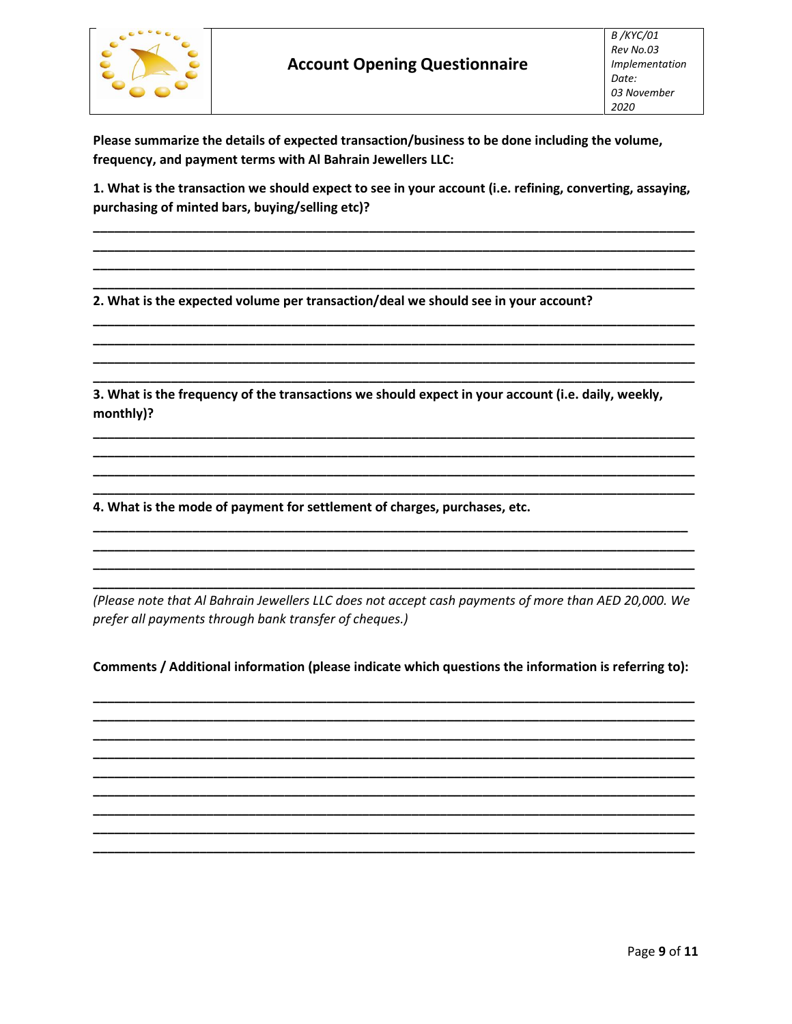

Please summarize the details of expected transaction/business to be done including the volume, frequency, and payment terms with Al Bahrain Jewellers LLC:

1. What is the transaction we should expect to see in your account (i.e. refining, converting, assaying, purchasing of minted bars, buying/selling etc)?

2. What is the expected volume per transaction/deal we should see in your account?

3. What is the frequency of the transactions we should expect in your account (i.e. daily, weekly, monthly)?

4. What is the mode of payment for settlement of charges, purchases, etc.

(Please note that Al Bahrain Jewellers LLC does not accept cash payments of more than AED 20,000. We prefer all payments through bank transfer of cheques.)

Comments / Additional information (please indicate which questions the information is referring to):